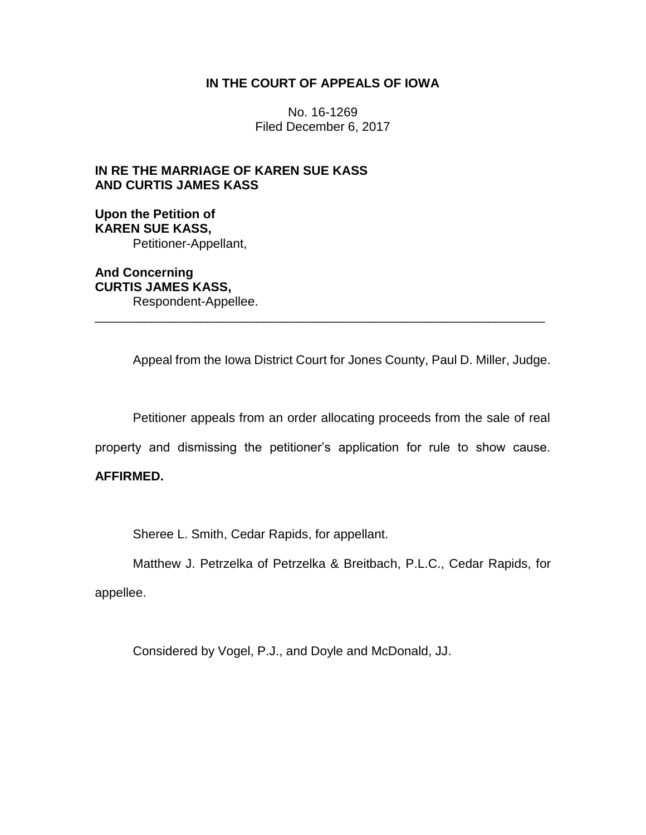#### **IN THE COURT OF APPEALS OF IOWA**

No. 16-1269 Filed December 6, 2017

# **IN RE THE MARRIAGE OF KAREN SUE KASS AND CURTIS JAMES KASS**

## **Upon the Petition of KAREN SUE KASS,** Petitioner-Appellant,

**And Concerning CURTIS JAMES KASS,** Respondent-Appellee.

Appeal from the Iowa District Court for Jones County, Paul D. Miller, Judge.

Petitioner appeals from an order allocating proceeds from the sale of real

property and dismissing the petitioner's application for rule to show cause.

\_\_\_\_\_\_\_\_\_\_\_\_\_\_\_\_\_\_\_\_\_\_\_\_\_\_\_\_\_\_\_\_\_\_\_\_\_\_\_\_\_\_\_\_\_\_\_\_\_\_\_\_\_\_\_\_\_\_\_\_\_\_\_\_

## **AFFIRMED.**

Sheree L. Smith, Cedar Rapids, for appellant.

Matthew J. Petrzelka of Petrzelka & Breitbach, P.L.C., Cedar Rapids, for

appellee.

Considered by Vogel, P.J., and Doyle and McDonald, JJ.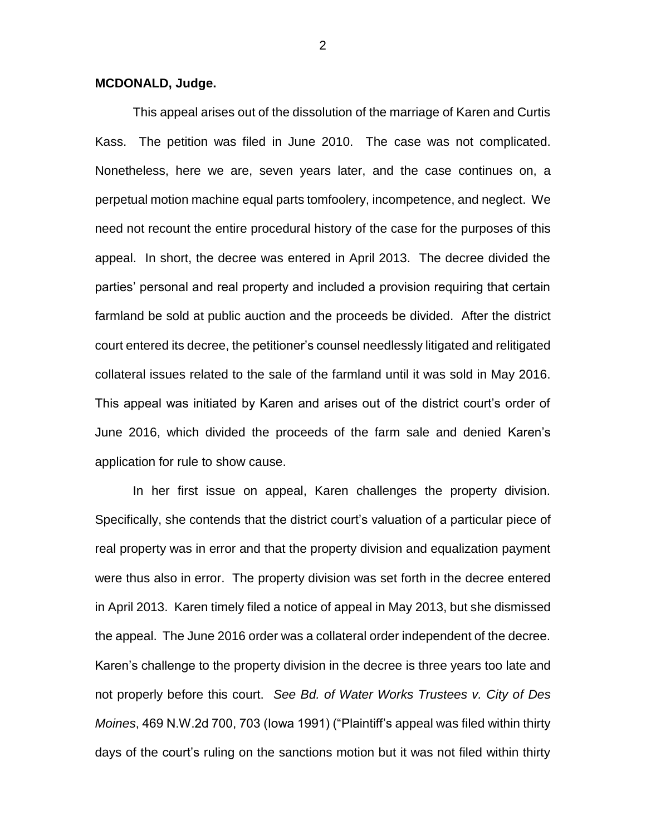#### **MCDONALD, Judge.**

This appeal arises out of the dissolution of the marriage of Karen and Curtis Kass. The petition was filed in June 2010. The case was not complicated. Nonetheless, here we are, seven years later, and the case continues on, a perpetual motion machine equal parts tomfoolery, incompetence, and neglect. We need not recount the entire procedural history of the case for the purposes of this appeal. In short, the decree was entered in April 2013. The decree divided the parties' personal and real property and included a provision requiring that certain farmland be sold at public auction and the proceeds be divided. After the district court entered its decree, the petitioner's counsel needlessly litigated and relitigated collateral issues related to the sale of the farmland until it was sold in May 2016. This appeal was initiated by Karen and arises out of the district court's order of June 2016, which divided the proceeds of the farm sale and denied Karen's application for rule to show cause.

In her first issue on appeal, Karen challenges the property division. Specifically, she contends that the district court's valuation of a particular piece of real property was in error and that the property division and equalization payment were thus also in error. The property division was set forth in the decree entered in April 2013. Karen timely filed a notice of appeal in May 2013, but she dismissed the appeal. The June 2016 order was a collateral order independent of the decree. Karen's challenge to the property division in the decree is three years too late and not properly before this court. *See Bd. of Water Works Trustees v. City of Des Moines*, 469 N.W.2d 700, 703 (Iowa 1991) ("Plaintiff's appeal was filed within thirty days of the court's ruling on the sanctions motion but it was not filed within thirty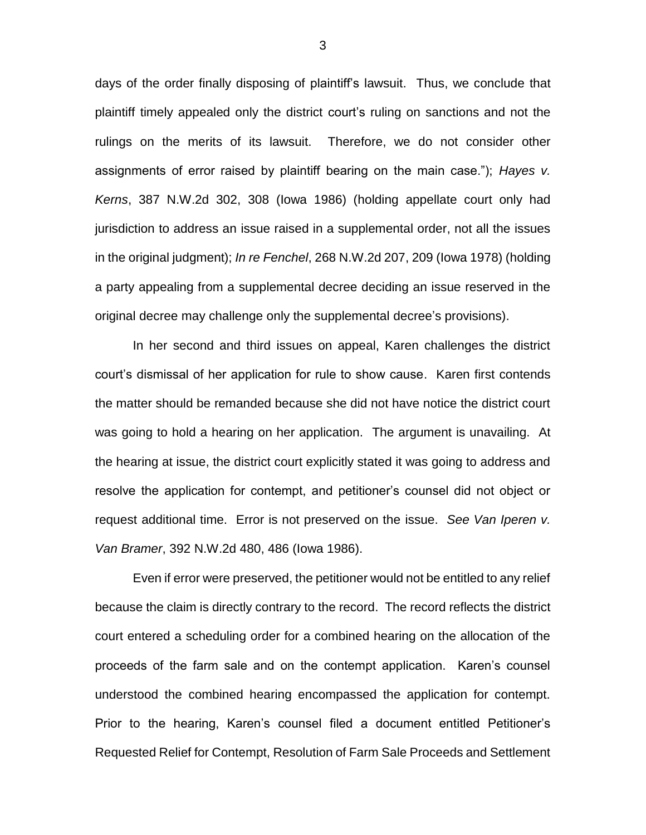days of the order finally disposing of plaintiff's lawsuit. Thus, we conclude that plaintiff timely appealed only the district court's ruling on sanctions and not the rulings on the merits of its lawsuit. Therefore, we do not consider other assignments of error raised by plaintiff bearing on the main case."); *Hayes v. Kerns*, 387 N.W.2d 302, 308 (Iowa 1986) (holding appellate court only had jurisdiction to address an issue raised in a supplemental order, not all the issues in the original judgment); *In re Fenchel*, 268 N.W.2d 207, 209 (Iowa 1978) (holding a party appealing from a supplemental decree deciding an issue reserved in the original decree may challenge only the supplemental decree's provisions).

In her second and third issues on appeal, Karen challenges the district court's dismissal of her application for rule to show cause. Karen first contends the matter should be remanded because she did not have notice the district court was going to hold a hearing on her application. The argument is unavailing. At the hearing at issue, the district court explicitly stated it was going to address and resolve the application for contempt, and petitioner's counsel did not object or request additional time. Error is not preserved on the issue. *See Van Iperen v. Van Bramer*, 392 N.W.2d 480, 486 (Iowa 1986).

Even if error were preserved, the petitioner would not be entitled to any relief because the claim is directly contrary to the record. The record reflects the district court entered a scheduling order for a combined hearing on the allocation of the proceeds of the farm sale and on the contempt application. Karen's counsel understood the combined hearing encompassed the application for contempt. Prior to the hearing, Karen's counsel filed a document entitled Petitioner's Requested Relief for Contempt, Resolution of Farm Sale Proceeds and Settlement

3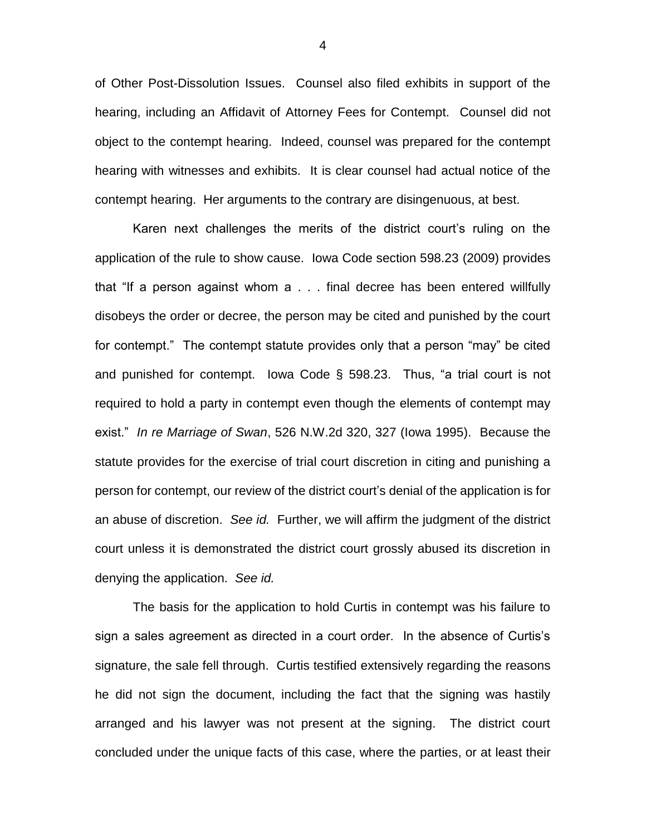of Other Post-Dissolution Issues. Counsel also filed exhibits in support of the hearing, including an Affidavit of Attorney Fees for Contempt. Counsel did not object to the contempt hearing. Indeed, counsel was prepared for the contempt hearing with witnesses and exhibits. It is clear counsel had actual notice of the contempt hearing. Her arguments to the contrary are disingenuous, at best.

Karen next challenges the merits of the district court's ruling on the application of the rule to show cause. Iowa Code section 598.23 (2009) provides that "If a person against whom a . . . final decree has been entered willfully disobeys the order or decree, the person may be cited and punished by the court for contempt." The contempt statute provides only that a person "may" be cited and punished for contempt. Iowa Code § 598.23. Thus, "a trial court is not required to hold a party in contempt even though the elements of contempt may exist." *In re Marriage of Swan*, 526 N.W.2d 320, 327 (Iowa 1995). Because the statute provides for the exercise of trial court discretion in citing and punishing a person for contempt, our review of the district court's denial of the application is for an abuse of discretion. *See id.* Further, we will affirm the judgment of the district court unless it is demonstrated the district court grossly abused its discretion in denying the application. *See id.*

The basis for the application to hold Curtis in contempt was his failure to sign a sales agreement as directed in a court order. In the absence of Curtis's signature, the sale fell through. Curtis testified extensively regarding the reasons he did not sign the document, including the fact that the signing was hastily arranged and his lawyer was not present at the signing. The district court concluded under the unique facts of this case, where the parties, or at least their

4